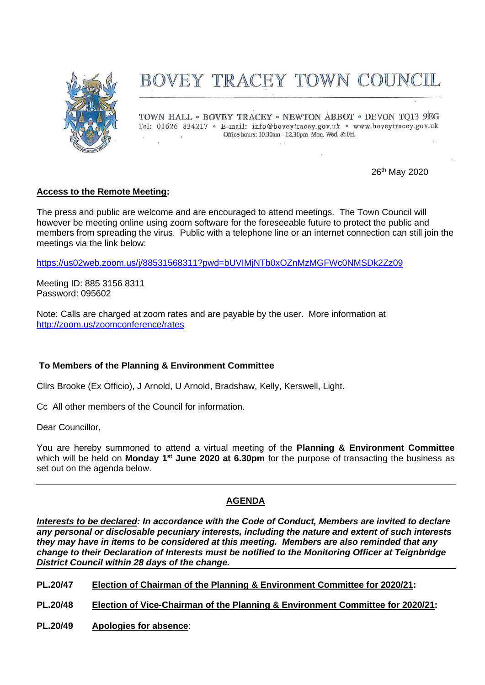

# BOVEY TRACEY TOWN COUNCIL

TOWN HALL . BOVEY TRACEY . NEWTON ABBOT . DEVON TO13 9EG Tel: 01626 834217 · E-mail: info@boveytracey.gov.uk · www.boveytracey.gov.uk Office hours: 10.30am - 12.30pm Mon. Wed. & Fri.  $\mathcal{L}$ 

26th May 2020

# **Access to the Remote Meeting:**

The press and public are welcome and are encouraged to attend meetings. The Town Council will however be meeting online using zoom software for the foreseeable future to protect the public and members from spreading the virus. Public with a telephone line or an internet connection can still join the meetings via the link below:

<https://us02web.zoom.us/j/88531568311?pwd=bUVIMjNTb0xOZnMzMGFWc0NMSDk2Zz09>

Meeting ID: 885 3156 8311 Password: 095602

Note: Calls are charged at zoom rates and are payable by the user. More information at <http://zoom.us/zoomconference/rates>

## **To Members of the Planning & Environment Committee**

Cllrs Brooke (Ex Officio), J Arnold, U Arnold, Bradshaw, Kelly, Kerswell, Light.

Cc All other members of the Council for information.

Dear Councillor,

You are hereby summoned to attend a virtual meeting of the **Planning & Environment Committee** which will be held on Monday 1<sup>st</sup> June 2020 at 6.30pm for the purpose of transacting the business as set out on the agenda below.

## **AGENDA**

*Interests to be declared: In accordance with the Code of Conduct, Members are invited to declare any personal or disclosable pecuniary interests, including the nature and extent of such interests they may have in items to be considered at this meeting. Members are also reminded that any change to their Declaration of Interests must be notified to the Monitoring Officer at Teignbridge District Council within 28 days of the change.*

- **PL.20/47 Election of Chairman of the Planning & Environment Committee for 2020/21:**
- **PL.20/48 Election of Vice-Chairman of the Planning & Environment Committee for 2020/21:**
- **PL.20/49 Apologies for absence**: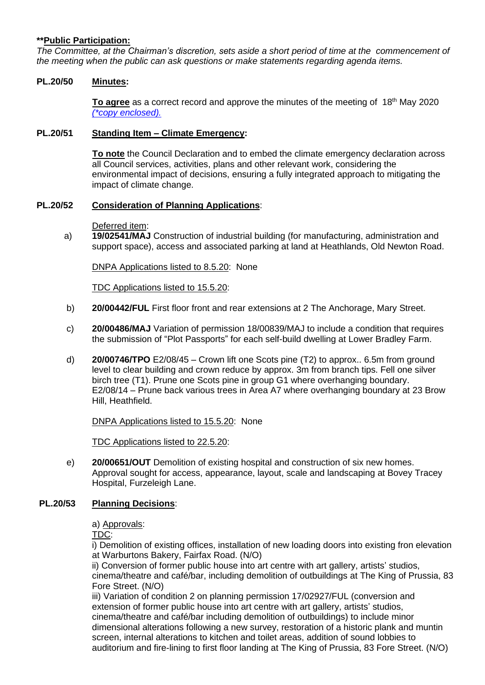## **\*\*Public Participation:**

*The Committee, at the Chairman's discretion, sets aside a short period of time at the commencement of the meeting when the public can ask questions or make statements regarding agenda items.*

#### **PL.20/50 Minutes:**

**To agree** as a correct record and approve the minutes of the meeting of 18<sup>th</sup> May 2020 *(\*copy [enclosed\).](https://www.dropbox.com/s/ep3wkliqi8onlzb/Planning%20Mtg%20Mins%2018.05.20.pdf?dl=0)*

#### **PL.20/51 Standing Item – Climate Emergency:**

**To note** the Council Declaration and to embed the climate emergency declaration across all Council services, activities, plans and other relevant work, considering the environmental impact of decisions, ensuring a fully integrated approach to mitigating the impact of climate change.

#### **PL.20/52 Consideration of Planning Applications**:

Deferred item:

a) **19/02541/MAJ** Construction of industrial building (for manufacturing, administration and support space), access and associated parking at land at Heathlands, Old Newton Road.

DNPA Applications listed to 8.5.20: None

TDC Applications listed to 15.5.20:

- b) **20/00442/FUL** First floor front and rear extensions at 2 The Anchorage, Mary Street.
- c) **20/00486/MAJ** Variation of permission 18/00839/MAJ to include a condition that requires the submission of "Plot Passports" for each self-build dwelling at Lower Bradley Farm.
- d) **20/00746/TPO** E2/08/45 Crown lift one Scots pine (T2) to approx.. 6.5m from ground level to clear building and crown reduce by approx. 3m from branch tips. Fell one silver birch tree (T1). Prune one Scots pine in group G1 where overhanging boundary. E2/08/14 – Prune back various trees in Area A7 where overhanging boundary at 23 Brow Hill, Heathfield.

DNPA Applications listed to 15.5.20: None

TDC Applications listed to 22.5.20:

e) **20/00651/OUT** Demolition of existing hospital and construction of six new homes. Approval sought for access, appearance, layout, scale and landscaping at Bovey Tracey Hospital, Furzeleigh Lane.

## **PL.20/53 Planning Decisions**:

a) Approvals:

TDC:

i) Demolition of existing offices, installation of new loading doors into existing fron elevation at Warburtons Bakery, Fairfax Road. (N/O)

ii) Conversion of former public house into art centre with art gallery, artists' studios, cinema/theatre and café/bar, including demolition of outbuildings at The King of Prussia, 83 Fore Street. (N/O)

iii) Variation of condition 2 on planning permission 17/02927/FUL (conversion and extension of former public house into art centre with art gallery, artists' studios, cinema/theatre and café/bar including demolition of outbuildings) to include minor dimensional alterations following a new survey, restoration of a historic plank and muntin screen, internal alterations to kitchen and toilet areas, addition of sound lobbies to auditorium and fire-lining to first floor landing at The King of Prussia, 83 Fore Street. (N/O)